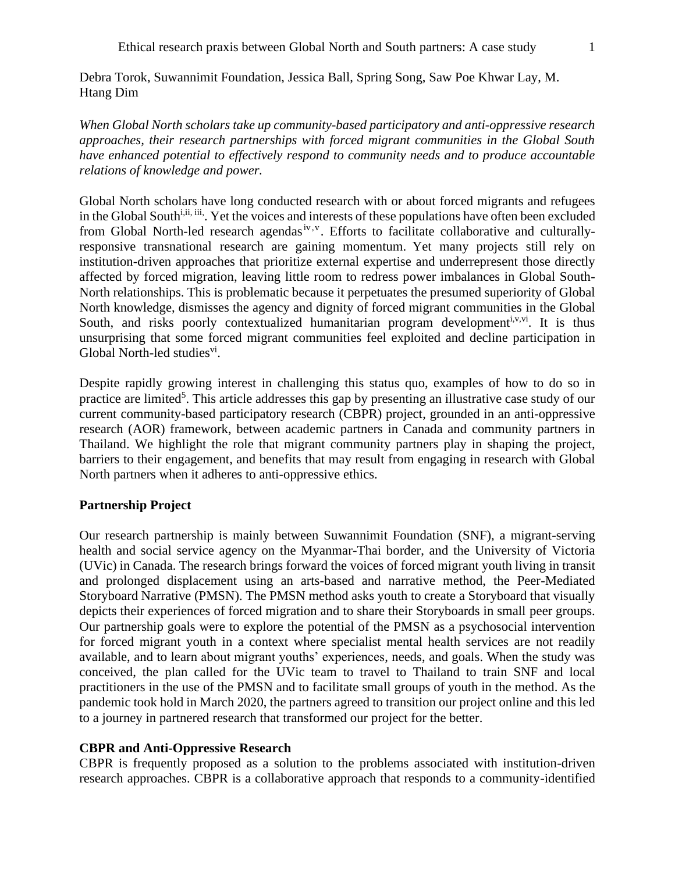*When Global North scholars take up community-based participatory and anti-oppressive research approaches, their research partnerships with forced migrant communities in the Global South have enhanced potential to effectively respond to community needs and to produce accountable relations of knowledge and power.*

Global North scholars have long conducted research with or about forced migrants and refugees in the Global South<sup>i,ii, iii</sup>. Yet the voices and interests of these populations have often been excluded from Global North-led research agendas<sup>iv, v</sup>. Efforts to facilitate collaborative and culturallyresponsive transnational research are gaining momentum. Yet many projects still rely on institution-driven approaches that prioritize external expertise and underrepresent those directly affected by forced migration, leaving little room to redress power imbalances in Global South-North relationships. This is problematic because it perpetuates the presumed superiority of Global North knowledge, dismisses the agency and dignity of forced migrant communities in the Global South, and risks poorly contextualized humanitarian program development<sup>i,v,vi</sup>. It is thus unsurprising that some forced migrant communities feel exploited and decline participation in Global North-led studies<sup>vi</sup>.

Despite rapidly growing interest in challenging this status quo, examples of how to do so in practice are limited<sup>5</sup>. This article addresses this gap by presenting an illustrative case study of our current community-based participatory research (CBPR) project, grounded in an anti-oppressive research (AOR) framework, between academic partners in Canada and community partners in Thailand. We highlight the role that migrant community partners play in shaping the project, barriers to their engagement, and benefits that may result from engaging in research with Global North partners when it adheres to anti-oppressive ethics.

# **Partnership Project**

Our research partnership is mainly between Suwannimit Foundation (SNF), a migrant-serving health and social service agency on the Myanmar-Thai border, and the University of Victoria (UVic) in Canada. The research brings forward the voices of forced migrant youth living in transit and prolonged displacement using an arts-based and narrative method, the Peer-Mediated Storyboard Narrative (PMSN). The PMSN method asks youth to create a Storyboard that visually depicts their experiences of forced migration and to share their Storyboards in small peer groups. Our partnership goals were to explore the potential of the PMSN as a psychosocial intervention for forced migrant youth in a context where specialist mental health services are not readily available, and to learn about migrant youths' experiences, needs, and goals. When the study was conceived, the plan called for the UVic team to travel to Thailand to train SNF and local practitioners in the use of the PMSN and to facilitate small groups of youth in the method. As the pandemic took hold in March 2020, the partners agreed to transition our project online and this led to a journey in partnered research that transformed our project for the better.

# **CBPR and Anti-Oppressive Research**

CBPR is frequently proposed as a solution to the problems associated with institution-driven research approaches. CBPR is a collaborative approach that responds to a community-identified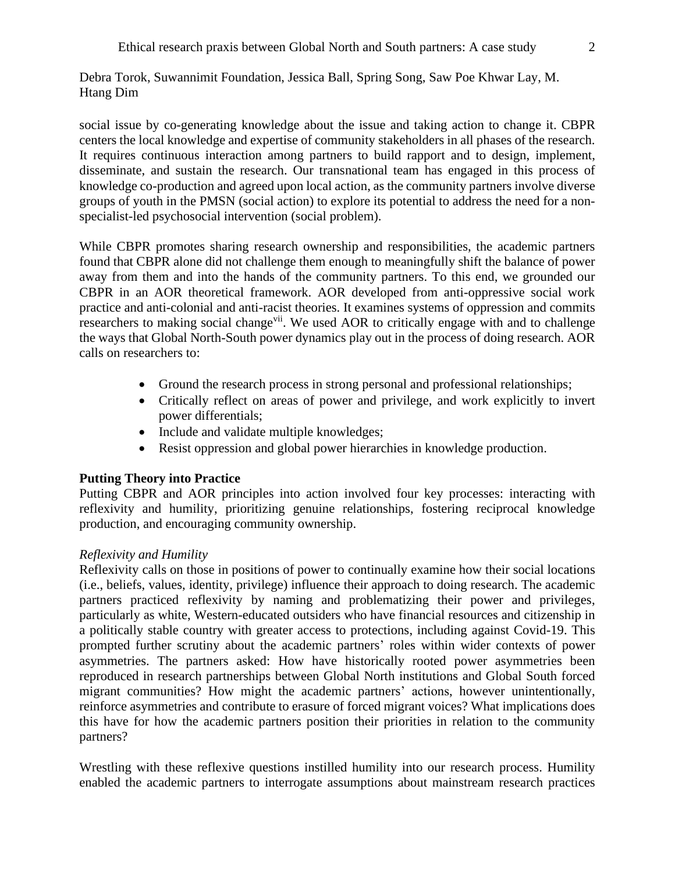social issue by co-generating knowledge about the issue and taking action to change it. CBPR centers the local knowledge and expertise of community stakeholders in all phases of the research. It requires continuous interaction among partners to build rapport and to design, implement, disseminate, and sustain the research. Our transnational team has engaged in this process of knowledge co-production and agreed upon local action, as the community partners involve diverse groups of youth in the PMSN (social action) to explore its potential to address the need for a nonspecialist-led psychosocial intervention (social problem).

While CBPR promotes sharing research ownership and responsibilities, the academic partners found that CBPR alone did not challenge them enough to meaningfully shift the balance of power away from them and into the hands of the community partners. To this end, we grounded our CBPR in an AOR theoretical framework. AOR developed from anti-oppressive social work practice and anti-colonial and anti-racist theories. It examines systems of oppression and commits researchers to making social change<sup>vii</sup>. We used AOR to critically engage with and to challenge the ways that Global North-South power dynamics play out in the process of doing research. AOR calls on researchers to:

- Ground the research process in strong personal and professional relationships;
- Critically reflect on areas of power and privilege, and work explicitly to invert power differentials;
- Include and validate multiple knowledges;
- Resist oppression and global power hierarchies in knowledge production.

# **Putting Theory into Practice**

Putting CBPR and AOR principles into action involved four key processes: interacting with reflexivity and humility, prioritizing genuine relationships, fostering reciprocal knowledge production, and encouraging community ownership.

# *Reflexivity and Humility*

Reflexivity calls on those in positions of power to continually examine how their social locations (i.e., beliefs, values, identity, privilege) influence their approach to doing research. The academic partners practiced reflexivity by naming and problematizing their power and privileges, particularly as white, Western-educated outsiders who have financial resources and citizenship in a politically stable country with greater access to protections, including against Covid-19. This prompted further scrutiny about the academic partners' roles within wider contexts of power asymmetries. The partners asked: How have historically rooted power asymmetries been reproduced in research partnerships between Global North institutions and Global South forced migrant communities? How might the academic partners' actions, however unintentionally, reinforce asymmetries and contribute to erasure of forced migrant voices? What implications does this have for how the academic partners position their priorities in relation to the community partners?

Wrestling with these reflexive questions instilled humility into our research process. Humility enabled the academic partners to interrogate assumptions about mainstream research practices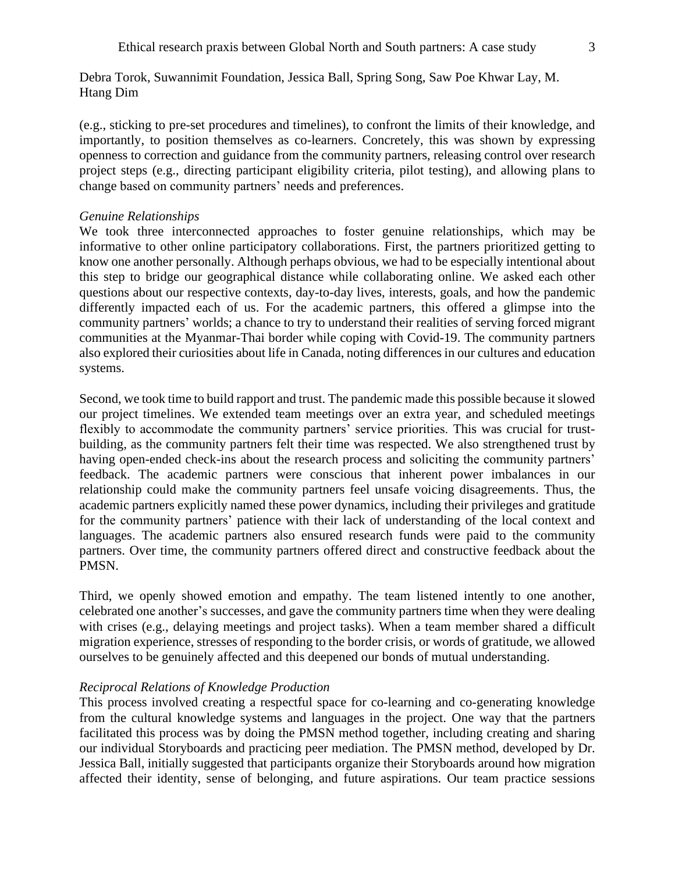(e.g., sticking to pre-set procedures and timelines), to confront the limits of their knowledge, and importantly, to position themselves as co-learners. Concretely, this was shown by expressing openness to correction and guidance from the community partners, releasing control over research project steps (e.g., directing participant eligibility criteria, pilot testing), and allowing plans to change based on community partners' needs and preferences.

## *Genuine Relationships*

We took three interconnected approaches to foster genuine relationships, which may be informative to other online participatory collaborations. First, the partners prioritized getting to know one another personally. Although perhaps obvious, we had to be especially intentional about this step to bridge our geographical distance while collaborating online. We asked each other questions about our respective contexts, day-to-day lives, interests, goals, and how the pandemic differently impacted each of us. For the academic partners, this offered a glimpse into the community partners' worlds; a chance to try to understand their realities of serving forced migrant communities at the Myanmar-Thai border while coping with Covid-19. The community partners also explored their curiosities about life in Canada, noting differences in our cultures and education systems.

Second, we took time to build rapport and trust. The pandemic made this possible because it slowed our project timelines. We extended team meetings over an extra year, and scheduled meetings flexibly to accommodate the community partners' service priorities. This was crucial for trustbuilding, as the community partners felt their time was respected. We also strengthened trust by having open-ended check-ins about the research process and soliciting the community partners' feedback. The academic partners were conscious that inherent power imbalances in our relationship could make the community partners feel unsafe voicing disagreements. Thus, the academic partners explicitly named these power dynamics, including their privileges and gratitude for the community partners' patience with their lack of understanding of the local context and languages. The academic partners also ensured research funds were paid to the community partners. Over time, the community partners offered direct and constructive feedback about the PMSN.

Third, we openly showed emotion and empathy. The team listened intently to one another, celebrated one another's successes, and gave the community partners time when they were dealing with crises (e.g., delaying meetings and project tasks). When a team member shared a difficult migration experience, stresses of responding to the border crisis, or words of gratitude, we allowed ourselves to be genuinely affected and this deepened our bonds of mutual understanding.

# *Reciprocal Relations of Knowledge Production*

This process involved creating a respectful space for co-learning and co-generating knowledge from the cultural knowledge systems and languages in the project. One way that the partners facilitated this process was by doing the PMSN method together, including creating and sharing our individual Storyboards and practicing peer mediation. The PMSN method, developed by Dr. Jessica Ball, initially suggested that participants organize their Storyboards around how migration affected their identity, sense of belonging, and future aspirations. Our team practice sessions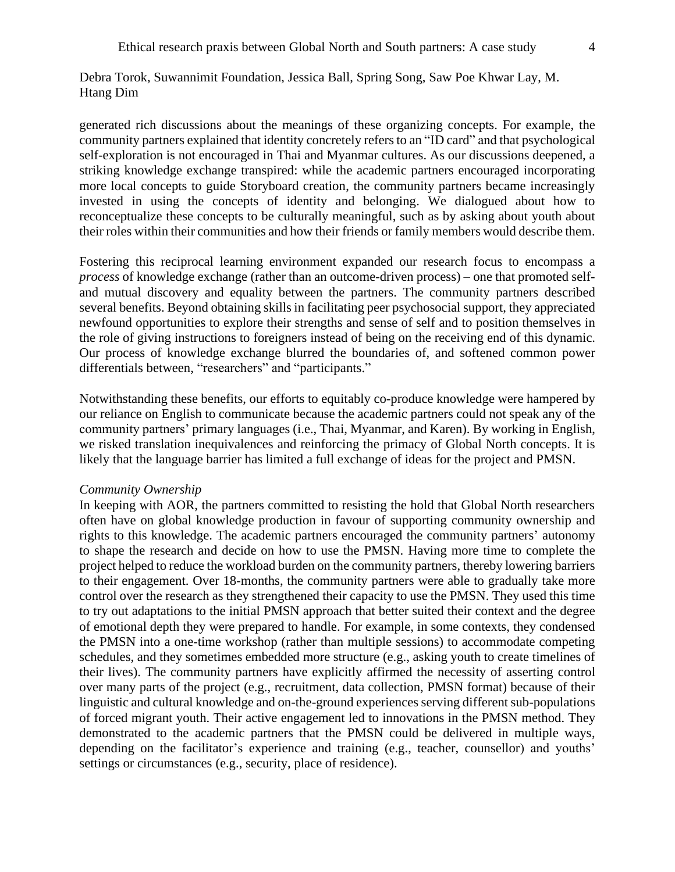generated rich discussions about the meanings of these organizing concepts. For example, the community partners explained that identity concretely refers to an "ID card" and that psychological self-exploration is not encouraged in Thai and Myanmar cultures. As our discussions deepened, a striking knowledge exchange transpired: while the academic partners encouraged incorporating more local concepts to guide Storyboard creation, the community partners became increasingly invested in using the concepts of identity and belonging. We dialogued about how to reconceptualize these concepts to be culturally meaningful, such as by asking about youth about their roles within their communities and how their friends or family members would describe them.

Fostering this reciprocal learning environment expanded our research focus to encompass a *process* of knowledge exchange (rather than an outcome-driven process) – one that promoted selfand mutual discovery and equality between the partners. The community partners described several benefits. Beyond obtaining skills in facilitating peer psychosocial support, they appreciated newfound opportunities to explore their strengths and sense of self and to position themselves in the role of giving instructions to foreigners instead of being on the receiving end of this dynamic. Our process of knowledge exchange blurred the boundaries of, and softened common power differentials between, "researchers" and "participants."

Notwithstanding these benefits, our efforts to equitably co-produce knowledge were hampered by our reliance on English to communicate because the academic partners could not speak any of the community partners' primary languages (i.e., Thai, Myanmar, and Karen). By working in English, we risked translation inequivalences and reinforcing the primacy of Global North concepts. It is likely that the language barrier has limited a full exchange of ideas for the project and PMSN.

### *Community Ownership*

In keeping with AOR, the partners committed to resisting the hold that Global North researchers often have on global knowledge production in favour of supporting community ownership and rights to this knowledge. The academic partners encouraged the community partners' autonomy to shape the research and decide on how to use the PMSN. Having more time to complete the project helped to reduce the workload burden on the community partners, thereby lowering barriers to their engagement. Over 18-months, the community partners were able to gradually take more control over the research as they strengthened their capacity to use the PMSN. They used this time to try out adaptations to the initial PMSN approach that better suited their context and the degree of emotional depth they were prepared to handle. For example, in some contexts, they condensed the PMSN into a one-time workshop (rather than multiple sessions) to accommodate competing schedules, and they sometimes embedded more structure (e.g., asking youth to create timelines of their lives). The community partners have explicitly affirmed the necessity of asserting control over many parts of the project (e.g., recruitment, data collection, PMSN format) because of their linguistic and cultural knowledge and on-the-ground experiences serving different sub-populations of forced migrant youth. Their active engagement led to innovations in the PMSN method. They demonstrated to the academic partners that the PMSN could be delivered in multiple ways, depending on the facilitator's experience and training (e.g., teacher, counsellor) and youths' settings or circumstances (e.g., security, place of residence).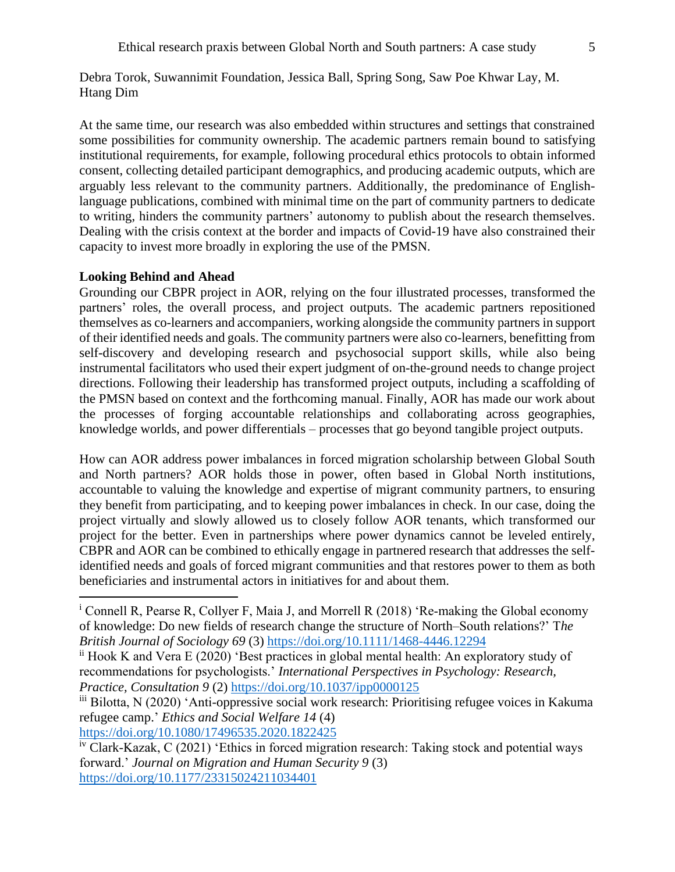At the same time, our research was also embedded within structures and settings that constrained some possibilities for community ownership. The academic partners remain bound to satisfying institutional requirements, for example, following procedural ethics protocols to obtain informed consent, collecting detailed participant demographics, and producing academic outputs, which are arguably less relevant to the community partners. Additionally, the predominance of Englishlanguage publications, combined with minimal time on the part of community partners to dedicate to writing, hinders the community partners' autonomy to publish about the research themselves. Dealing with the crisis context at the border and impacts of Covid-19 have also constrained their capacity to invest more broadly in exploring the use of the PMSN.

#### **Looking Behind and Ahead**

Grounding our CBPR project in AOR, relying on the four illustrated processes, transformed the partners' roles, the overall process, and project outputs. The academic partners repositioned themselves as co-learners and accompaniers, working alongside the community partners in support of their identified needs and goals. The community partners were also co-learners, benefitting from self-discovery and developing research and psychosocial support skills, while also being instrumental facilitators who used their expert judgment of on-the-ground needs to change project directions. Following their leadership has transformed project outputs, including a scaffolding of the PMSN based on context and the forthcoming manual. Finally, AOR has made our work about the processes of forging accountable relationships and collaborating across geographies, knowledge worlds, and power differentials – processes that go beyond tangible project outputs.

How can AOR address power imbalances in forced migration scholarship between Global South and North partners? AOR holds those in power, often based in Global North institutions, accountable to valuing the knowledge and expertise of migrant community partners, to ensuring they benefit from participating, and to keeping power imbalances in check. In our case, doing the project virtually and slowly allowed us to closely follow AOR tenants, which transformed our project for the better. Even in partnerships where power dynamics cannot be leveled entirely, CBPR and AOR can be combined to ethically engage in partnered research that addresses the selfidentified needs and goals of forced migrant communities and that restores power to them as both beneficiaries and instrumental actors in initiatives for and about them.

<https://doi.org/10.1080/17496535.2020.1822425>

<sup>&</sup>lt;sup>i</sup> Connell R, Pearse R, Collyer F, Maia J, and Morrell R (2018) 'Re-making the Global economy of knowledge: Do new fields of research change the structure of North–South relations?' T*he British Journal of Sociology 69* (3)<https://doi.org/10.1111/1468-4446.12294>

ii Hook K and Vera E (2020) 'Best practices in global mental health: An exploratory study of recommendations for psychologists.' *International Perspectives in Psychology: Research, Practice, Consultation 9* (2)<https://doi.org/10.1037/ipp0000125>

iii Bilotta, N (2020) 'Anti-oppressive social work research: Prioritising refugee voices in Kakuma refugee camp.' *Ethics and Social Welfare 14* (4)

iv Clark-Kazak, C (2021) 'Ethics in forced migration research: Taking stock and potential ways forward.' *Journal on Migration and Human Security 9* (3) <https://doi.org/10.1177/23315024211034401>